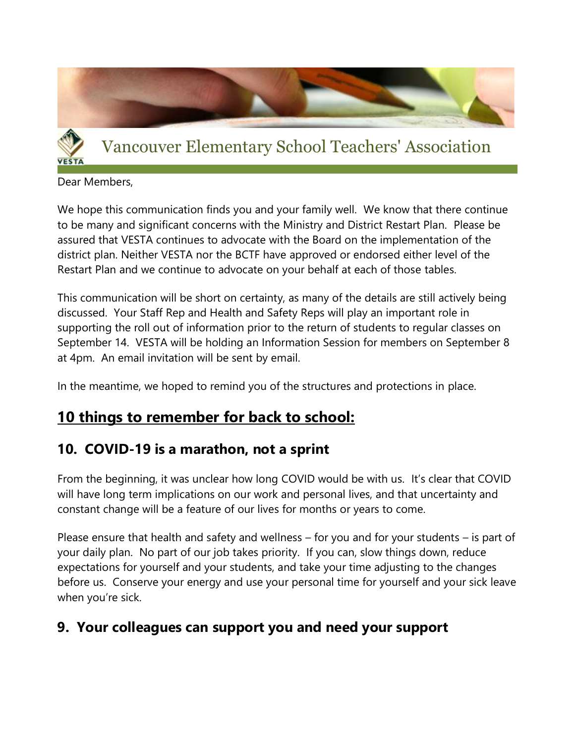

# Vancouver Elementary School Teachers' Association

Dear Members,

We hope this communication finds you and your family well. We know that there continue to be many and significant concerns with the Ministry and District Restart Plan. Please be assured that VESTA continues to advocate with the Board on the implementation of the district plan. Neither VESTA nor the BCTF have approved or endorsed either level of the Restart Plan and we continue to advocate on your behalf at each of those tables.

This communication will be short on certainty, as many of the details are still actively being discussed. Your Staff Rep and Health and Safety Reps will play an important role in supporting the roll out of information prior to the return of students to regular classes on September 14. VESTA will be holding an Information Session for members on September 8 at 4pm. An email invitation will be sent by email.

In the meantime, we hoped to remind you of the structures and protections in place.

### **10 things to remember for back to school:**

#### **10. COVID-19 is a marathon, not a sprint**

From the beginning, it was unclear how long COVID would be with us. It's clear that COVID will have long term implications on our work and personal lives, and that uncertainty and constant change will be a feature of our lives for months or years to come.

Please ensure that health and safety and wellness – for you and for your students – is part of your daily plan. No part of our job takes priority. If you can, slow things down, reduce expectations for yourself and your students, and take your time adjusting to the changes before us. Conserve your energy and use your personal time for yourself and your sick leave when you're sick.

#### **9. Your colleagues can support you and need your support**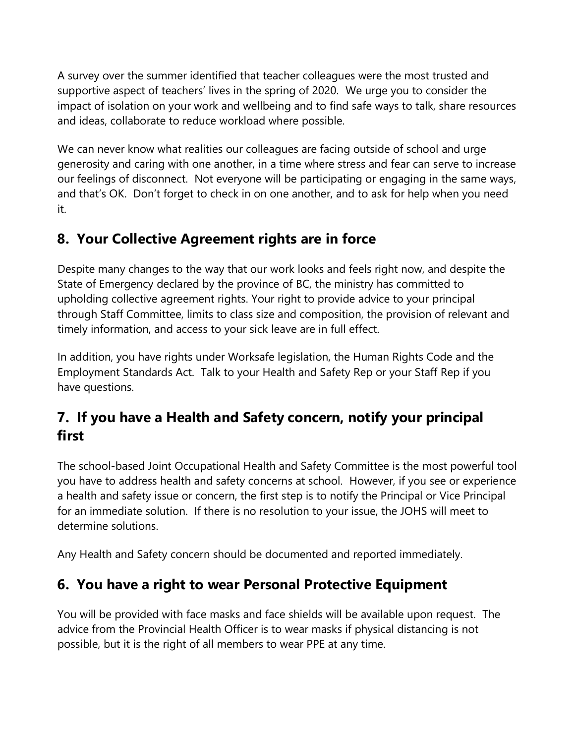A survey over the summer identified that teacher colleagues were the most trusted and supportive aspect of teachers' lives in the spring of 2020. We urge you to consider the impact of isolation on your work and wellbeing and to find safe ways to talk, share resources and ideas, collaborate to reduce workload where possible.

We can never know what realities our colleagues are facing outside of school and urge generosity and caring with one another, in a time where stress and fear can serve to increase our feelings of disconnect. Not everyone will be participating or engaging in the same ways, and that's OK. Don't forget to check in on one another, and to ask for help when you need it.

#### **8. Your Collective Agreement rights are in force**

Despite many changes to the way that our work looks and feels right now, and despite the State of Emergency declared by the province of BC, the ministry has committed to upholding collective agreement rights. Your right to provide advice to your principal through Staff Committee, limits to class size and composition, the provision of relevant and timely information, and access to your sick leave are in full effect.

In addition, you have rights under Worksafe legislation, the Human Rights Code and the Employment Standards Act. Talk to your Health and Safety Rep or your Staff Rep if you have questions.

## **7. If you have a Health and Safety concern, notify your principal first**

The school-based Joint Occupational Health and Safety Committee is the most powerful tool you have to address health and safety concerns at school. However, if you see or experience a health and safety issue or concern, the first step is to notify the Principal or Vice Principal for an immediate solution. If there is no resolution to your issue, the JOHS will meet to determine solutions.

Any Health and Safety concern should be documented and reported immediately.

### **6. You have a right to wear Personal Protective Equipment**

You will be provided with face masks and face shields will be available upon request. The advice from the Provincial Health Officer is to wear masks if physical distancing is not possible, but it is the right of all members to wear PPE at any time.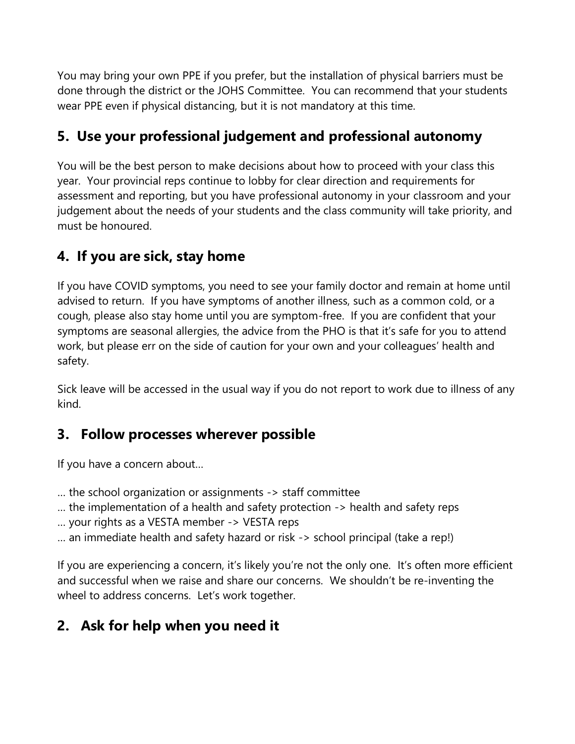You may bring your own PPE if you prefer, but the installation of physical barriers must be done through the district or the JOHS Committee. You can recommend that your students wear PPE even if physical distancing, but it is not mandatory at this time.

## **5. Use your professional judgement and professional autonomy**

You will be the best person to make decisions about how to proceed with your class this year. Your provincial reps continue to lobby for clear direction and requirements for assessment and reporting, but you have professional autonomy in your classroom and your judgement about the needs of your students and the class community will take priority, and must be honoured.

### **4. If you are sick, stay home**

If you have COVID symptoms, you need to see your family doctor and remain at home until advised to return. If you have symptoms of another illness, such as a common cold, or a cough, please also stay home until you are symptom-free. If you are confident that your symptoms are seasonal allergies, the advice from the PHO is that it's safe for you to attend work, but please err on the side of caution for your own and your colleagues' health and safety.

Sick leave will be accessed in the usual way if you do not report to work due to illness of any kind.

#### **3. Follow processes wherever possible**

If you have a concern about…

- … the school organization or assignments -> staff committee
- … the implementation of a health and safety protection -> health and safety reps
- … your rights as a VESTA member -> VESTA reps
- … an immediate health and safety hazard or risk -> school principal (take a rep!)

If you are experiencing a concern, it's likely you're not the only one. It's often more efficient and successful when we raise and share our concerns. We shouldn't be re-inventing the wheel to address concerns. Let's work together.

### **2. Ask for help when you need it**